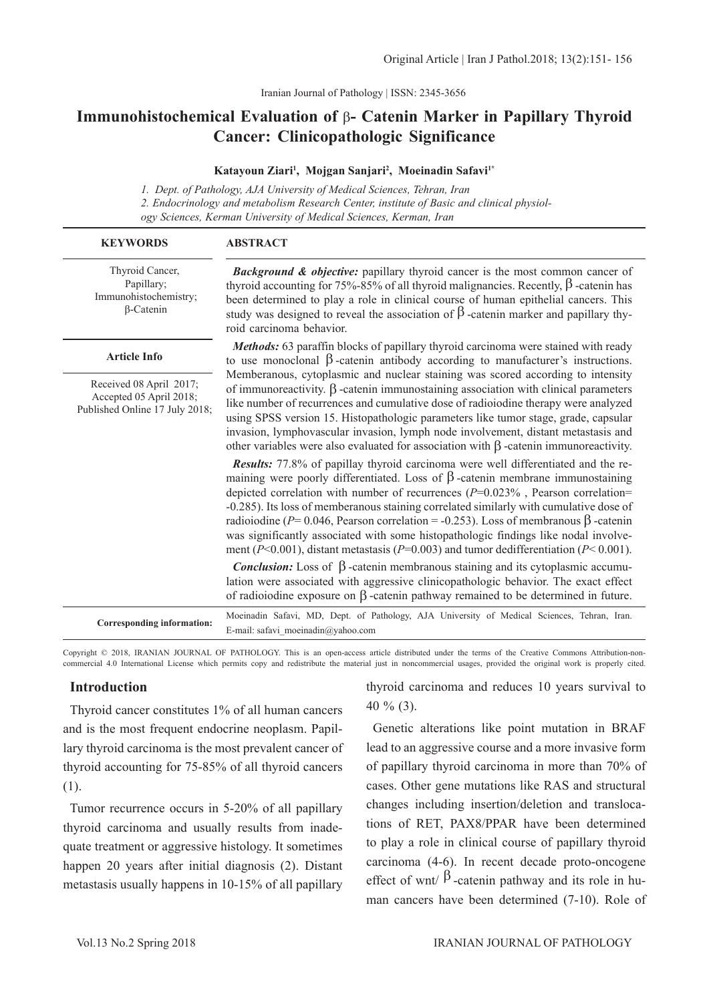Iranian Journal of Pathology | ISSN: 2345-3656

# **Immunohistochemical Evaluation of** β**- Catenin Marker in Papillary Thyroid Cancer: Clinicopathologic Significance**

#### **Katayoun Ziari1 , Mojgan Sanjari2 , Moeinadin Safavi1\***

*1. Dept. of Pathology, AJA University of Medical Sciences, Tehran, Iran 2. Endocrinology and metabolism Research Center, institute of Basic and clinical physiology Sciences, Kerman University of Medical Sciences, Kerman, Iran*

| <b>KEYWORDS</b>                                                                      | <b>ABSTRACT</b>                                                                                                                                                                                                                                                                                                                                                                                                                                                                                                                                                                                                                                   |  |  |  |  |
|--------------------------------------------------------------------------------------|---------------------------------------------------------------------------------------------------------------------------------------------------------------------------------------------------------------------------------------------------------------------------------------------------------------------------------------------------------------------------------------------------------------------------------------------------------------------------------------------------------------------------------------------------------------------------------------------------------------------------------------------------|--|--|--|--|
| Thyroid Cancer,<br>Papillary;<br>Immunohistochemistry;<br>$\beta$ -Catenin           | Background & objective: papillary thyroid cancer is the most common cancer of<br>thyroid accounting for 75%-85% of all thyroid malignancies. Recently, $\beta$ -catenin has<br>been determined to play a role in clinical course of human epithelial cancers. This<br>study was designed to reveal the association of $\beta$ -catenin marker and papillary thy-<br>roid carcinoma behavior.                                                                                                                                                                                                                                                      |  |  |  |  |
| <b>Article Info</b>                                                                  | Methods: 63 paraffin blocks of papillary thyroid carcinoma were stained with ready<br>to use monoclonal $\beta$ -catenin antibody according to manufacturer's instructions.                                                                                                                                                                                                                                                                                                                                                                                                                                                                       |  |  |  |  |
| Received 08 April 2017;<br>Accepted 05 April 2018;<br>Published Online 17 July 2018; | Memberanous, cytoplasmic and nuclear staining was scored according to intensity<br>of immunoreactivity. $\beta$ -catenin immunostaining association with clinical parameters<br>like number of recurrences and cumulative dose of radioiodine therapy were analyzed<br>using SPSS version 15. Histopathologic parameters like tumor stage, grade, capsular<br>invasion, lymphovascular invasion, lymph node involvement, distant metastasis and<br>other variables were also evaluated for association with $\beta$ -catenin immunoreactivity.                                                                                                    |  |  |  |  |
|                                                                                      | Results: 77.8% of papillay thyroid carcinoma were well differentiated and the re-<br>maining were poorly differentiated. Loss of $\beta$ -catenin membrane immunostaining<br>depicted correlation with number of recurrences $(P=0.023\%$ , Pearson correlation=<br>-0.285). Its loss of memberanous staining correlated similarly with cumulative dose of<br>radioiodine (P= 0.046, Pearson correlation = -0.253). Loss of membranous $\beta$ -catenin<br>was significantly associated with some histopathologic findings like nodal involve-<br>ment ( $P<0.001$ ), distant metastasis ( $P=0.003$ ) and tumor dedifferentiation ( $P<0.001$ ). |  |  |  |  |
|                                                                                      | <b>Conclusion:</b> Loss of $\beta$ -catenin membranous staining and its cytoplasmic accumu-<br>lation were associated with aggressive clinicopathologic behavior. The exact effect<br>of radioiodine exposure on $\beta$ -catenin pathway remained to be determined in future.                                                                                                                                                                                                                                                                                                                                                                    |  |  |  |  |
| Corresponding information:                                                           | Moeinadin Safavi, MD, Dept. of Pathology, AJA University of Medical Sciences, Tehran, Iran.<br>E-mail: safavi moeinadin@yahoo.com                                                                                                                                                                                                                                                                                                                                                                                                                                                                                                                 |  |  |  |  |

Copyright © 2018, IRANIAN JOURNAL OF PATHOLOGY. This is an open-access article distributed under the terms of the Creative Commons Attribution-noncommercial 4.0 International License which permits copy and redistribute the material just in noncommercial usages, provided the original work is properly cited.

#### **Introduction**

Thyroid cancer constitutes 1% of all human cancers and is the most frequent endocrine neoplasm. Papillary thyroid carcinoma is the most prevalent cancer of thyroid accounting for 75-85% of all thyroid cancers (1).

Tumor recurrence occurs in 5-20% of all papillary thyroid carcinoma and usually results from inadequate treatment or aggressive histology. It sometimes happen 20 years after initial diagnosis (2). Distant metastasis usually happens in 10-15% of all papillary

thyroid carcinoma and reduces 10 years survival to 40 % (3).

Genetic alterations like point mutation in BRAF lead to an aggressive course and a more invasive form of papillary thyroid carcinoma in more than 70% of cases. Other gene mutations like RAS and structural changes including insertion/deletion and translocations of RET, PAX8/PPAR have been determined to play a role in clinical course of papillary thyroid carcinoma (4-6). In recent decade proto-oncogene effect of wnt/ $\beta$ -catenin pathway and its role in human cancers have been determined (7-10). Role of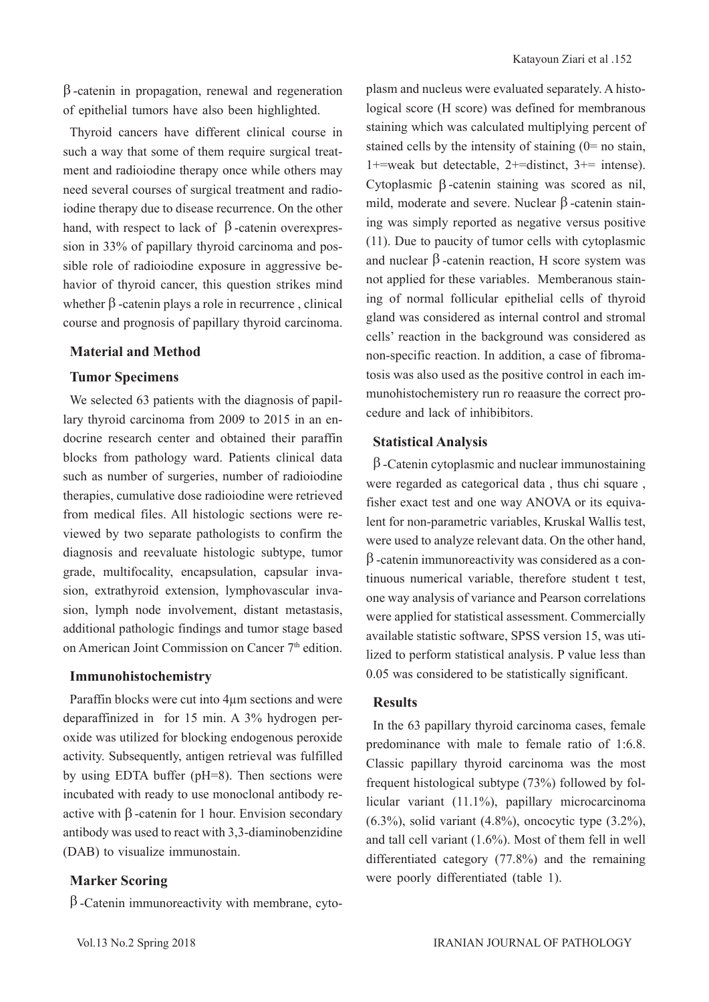$β$ -catenin in propagation, renewal and regeneration of epithelial tumors have also been highlighted.

Thyroid cancers have different clinical course in such a way that some of them require surgical treatment and radioiodine therapy once while others may need several courses of surgical treatment and radioiodine therapy due to disease recurrence. On the other hand, with respect to lack of  $β$ -catenin overexpression in 33% of papillary thyroid carcinoma and possible role of radioiodine exposure in aggressive behavior of thyroid cancer, this question strikes mind whether  $\beta$ -catenin plays a role in recurrence, clinical course and prognosis of papillary thyroid carcinoma.

## **Material and Method**

#### **Tumor Specimens**

We selected 63 patients with the diagnosis of papillary thyroid carcinoma from 2009 to 2015 in an endocrine research center and obtained their paraffin blocks from pathology ward. Patients clinical data such as number of surgeries, number of radioiodine therapies, cumulative dose radioiodine were retrieved from medical files. All histologic sections were reviewed by two separate pathologists to confirm the diagnosis and reevaluate histologic subtype, tumor grade, multifocality, encapsulation, capsular invasion, extrathyroid extension, lymphovascular invasion, lymph node involvement, distant metastasis, additional pathologic findings and tumor stage based on American Joint Commission on Cancer 7<sup>th</sup> edition.

### **Immunohistochemistry**

Paraffin blocks were cut into 4µm sections and were deparaffinized in for 15 min. A 3% hydrogen peroxide was utilized for blocking endogenous peroxide activity. Subsequently, antigen retrieval was fulfilled by using EDTA buffer (pH=8). Then sections were incubated with ready to use monoclonal antibody reactive with β -catenin for 1 hour. Envision secondary antibody was used to react with 3,3-diaminobenzidine (DAB) to visualize immunostain.

## **Marker Scoring**

 $β$ -Catenin immunoreactivity with membrane, cyto-

plasm and nucleus were evaluated separately. A histological score (H score) was defined for membranous staining which was calculated multiplying percent of stained cells by the intensity of staining  $(0=$  no stain, 1+=weak but detectable, 2+=distinct, 3+= intense). Cytoplasmic β -catenin staining was scored as nil, mild, moderate and severe. Nuclear β -catenin staining was simply reported as negative versus positive (11). Due to paucity of tumor cells with cytoplasmic and nuclear  $β$ -catenin reaction, H score system was not applied for these variables. Memberanous staining of normal follicular epithelial cells of thyroid gland was considered as internal control and stromal cells' reaction in the background was considered as non-specific reaction. In addition, a case of fibromatosis was also used as the positive control in each immunohistochemistery run ro reaasure the correct procedure and lack of inhibibitors.

#### **Statistical Analysis**

β -Catenin cytoplasmic and nuclear immunostaining were regarded as categorical data , thus chi square , fisher exact test and one way ANOVA or its equivalent for non-parametric variables, Kruskal Wallis test, were used to analyze relevant data. On the other hand, β -catenin immunoreactivity was considered as a continuous numerical variable, therefore student t test, one way analysis of variance and Pearson correlations were applied for statistical assessment. Commercially available statistic software, SPSS version 15, was utilized to perform statistical analysis. P value less than 0.05 was considered to be statistically significant.

## **Results**

In the 63 papillary thyroid carcinoma cases, female predominance with male to female ratio of 1:6.8. Classic papillary thyroid carcinoma was the most frequent histological subtype (73%) followed by follicular variant (11.1%), papillary microcarcinoma (6.3%), solid variant (4.8%), oncocytic type (3.2%), and tall cell variant (1.6%). Most of them fell in well differentiated category (77.8%) and the remaining were poorly differentiated (table 1).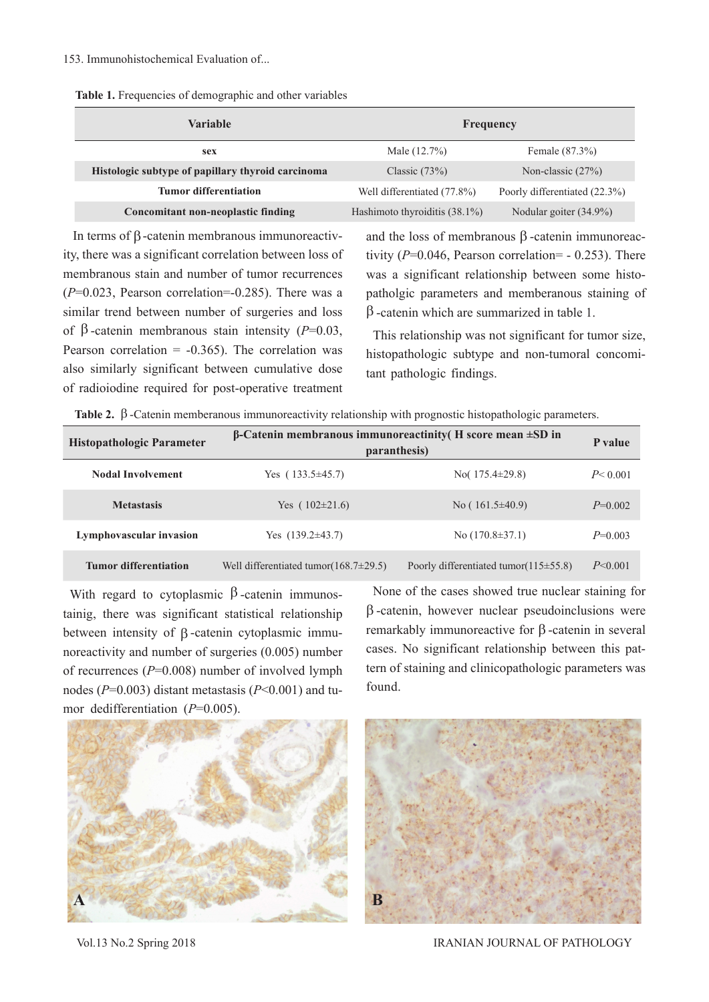|  |  | Table 1. Frequencies of demographic and other variables |  |  |
|--|--|---------------------------------------------------------|--|--|
|  |  |                                                         |  |  |

| <b>Variable</b>                                   | Frequency                     |                               |  |  |
|---------------------------------------------------|-------------------------------|-------------------------------|--|--|
| sex                                               | Male (12.7%)                  | Female (87.3%)                |  |  |
| Histologic subtype of papillary thyroid carcinoma | Classic $(73%)$               | Non-classic $(27%)$           |  |  |
| <b>Tumor differentiation</b>                      | Well differentiated (77.8%)   | Poorly differentiated (22.3%) |  |  |
| <b>Concomitant non-neoplastic finding</b>         | Hashimoto thyroiditis (38.1%) | Nodular goiter (34.9%)        |  |  |

 In terms of β-catenin membranous immunoreactivity, there was a significant correlation between loss of membranous stain and number of tumor recurrences (*P*=0.023, Pearson correlation=-0.285). There was a similar trend between number of surgeries and loss of β -catenin membranous stain intensity (*P*=0.03, Pearson correlation  $= -0.365$ ). The correlation was also similarly significant between cumulative dose of radioiodine required for post-operative treatment

and the loss of membranous β -catenin immunoreactivity  $(P=0.046,$  Pearson correlation=  $- 0.253$ ). There was a significant relationship between some histopatholgic parameters and memberanous staining of β -catenin which are summarized in table 1.

This relationship was not significant for tumor size, histopathologic subtype and non-tumoral concomitant pathologic findings.

|  |  | Table 2. $\beta$ -Catenin memberanous immunoreactivity relationship with prognostic histopathologic parameters |  |  |  |  |  |  |  |
|--|--|----------------------------------------------------------------------------------------------------------------|--|--|--|--|--|--|--|
|--|--|----------------------------------------------------------------------------------------------------------------|--|--|--|--|--|--|--|

| <b>Histopathologic Parameter</b> | $\beta$ -Catenin membranous immunoreactinity (H score mean $\pm SD$ in<br>paranthesis) |                                              |           |  |  |  |
|----------------------------------|----------------------------------------------------------------------------------------|----------------------------------------------|-----------|--|--|--|
| <b>Nodal Involvement</b>         | Yes $(133.5\pm 45.7)$                                                                  | No( $175.4\pm 29.8$ )                        | P < 0.001 |  |  |  |
| <b>Metastasis</b>                | Yes $(102\pm21.6)$                                                                     | No $(161.5\pm40.9)$                          | $P=0.002$ |  |  |  |
| Lymphovascular invasion          | Yes $(139.2\pm 43.7)$                                                                  | No $(170.8 \pm 37.1)$                        | $P=0.003$ |  |  |  |
| <b>Tumor differentiation</b>     | Well differentiated tumor $(168.7 \pm 29.5)$                                           | Poorly differentiated tumor $(115 \pm 55.8)$ | P<0.001   |  |  |  |

With regard to cytoplasmic  $\beta$ -catenin immunostainig, there was significant statistical relationship between intensity of β -catenin cytoplasmic immunoreactivity and number of surgeries (0.005) number of recurrences (*P*=0.008) number of involved lymph nodes (*P*=0.003) distant metastasis (*P*<0.001) and tumor dedifferentiation (*P*=0.005).

None of the cases showed true nuclear staining for β -catenin, however nuclear pseudoinclusions were remarkably immunoreactive for β -catenin in several cases. No significant relationship between this pattern of staining and clinicopathologic parameters was found.





Vol.13 No.2 Spring 2018 IRANIAN JOURNAL OF PATHOLOGY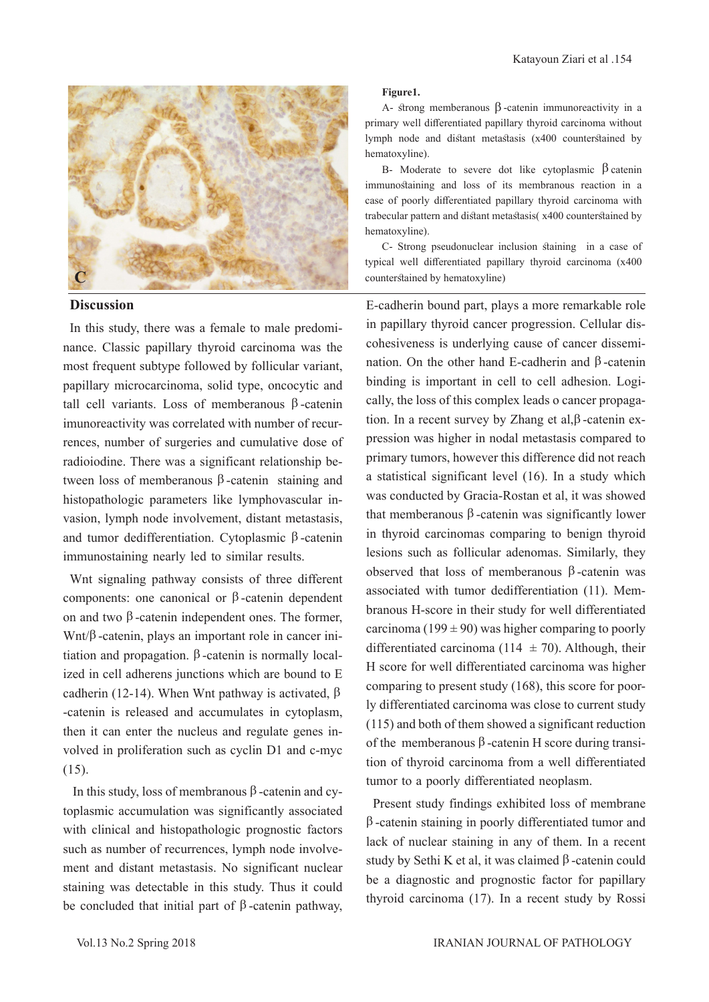

#### **Discussion**

In this study, there was a female to male predominance. Classic papillary thyroid carcinoma was the most frequent subtype followed by follicular variant, papillary microcarcinoma, solid type, oncocytic and tall cell variants. Loss of memberanous β -catenin imunoreactivity was correlated with number of recurrences, number of surgeries and cumulative dose of radioiodine. There was a significant relationship between loss of memberanous β -catenin staining and histopathologic parameters like lymphovascular invasion, lymph node involvement, distant metastasis, and tumor dedifferentiation. Cytoplasmic β -catenin immunostaining nearly led to similar results.

Wnt signaling pathway consists of three different components: one canonical or β -catenin dependent on and two β -catenin independent ones. The former, Wnt/β -catenin, plays an important role in cancer initiation and propagation.  $β$ -catenin is normally localized in cell adherens junctions which are bound to E cadherin (12-14). When Wnt pathway is activated,  $β$ -catenin is released and accumulates in cytoplasm, then it can enter the nucleus and regulate genes involved in proliferation such as cyclin D1 and c-myc (15).

 In this study, loss of membranous β -catenin and cytoplasmic accumulation was significantly associated with clinical and histopathologic prognostic factors such as number of recurrences, lymph node involvement and distant metastasis. No significant nuclear staining was detectable in this study. Thus it could be concluded that initial part of  $\beta$ -catenin pathway,

#### **Figure1.**

A- strong memberanous β -catenin immunoreactivity in a primary well differentiated papillary thyroid carcinoma without lymph node and distant metastasis (x400 counterstained by hematoxyline).

B- Moderate to severe dot like cytoplasmic  $β$  catenin immunostaining and loss of its membranous reaction in a case of poorly differentiated papillary thyroid carcinoma with trabecular pattern and distant metastasis( x400 counterstained by hematoxyline).

C- Strong pseudonuclear inclusion staining in a case of typical well differentiated papillary thyroid carcinoma (x400 counterstained by hematoxyline)

E-cadherin bound part, plays a more remarkable role in papillary thyroid cancer progression. Cellular discohesiveness is underlying cause of cancer dissemination. On the other hand E-cadherin and β -catenin binding is important in cell to cell adhesion. Logically, the loss of this complex leads o cancer propagation. In a recent survey by Zhang et al,β -catenin expression was higher in nodal metastasis compared to primary tumors, however this difference did not reach a statistical significant level (16). In a study which was conducted by Gracia-Rostan et al, it was showed that memberanous  $β$ -catenin was significantly lower in thyroid carcinomas comparing to benign thyroid lesions such as follicular adenomas. Similarly, they observed that loss of memberanous β -catenin was associated with tumor dedifferentiation (11). Membranous H-score in their study for well differentiated carcinoma (199  $\pm$  90) was higher comparing to poorly differentiated carcinoma (114  $\pm$  70). Although, their H score for well differentiated carcinoma was higher comparing to present study (168), this score for poorly differentiated carcinoma was close to current study (115) and both of them showed a significant reduction of the memberanous β -catenin H score during transition of thyroid carcinoma from a well differentiated tumor to a poorly differentiated neoplasm.

Present study findings exhibited loss of membrane β -catenin staining in poorly differentiated tumor and lack of nuclear staining in any of them. In a recent study by Sethi K et al, it was claimed β -catenin could be a diagnostic and prognostic factor for papillary thyroid carcinoma (17). In a recent study by Rossi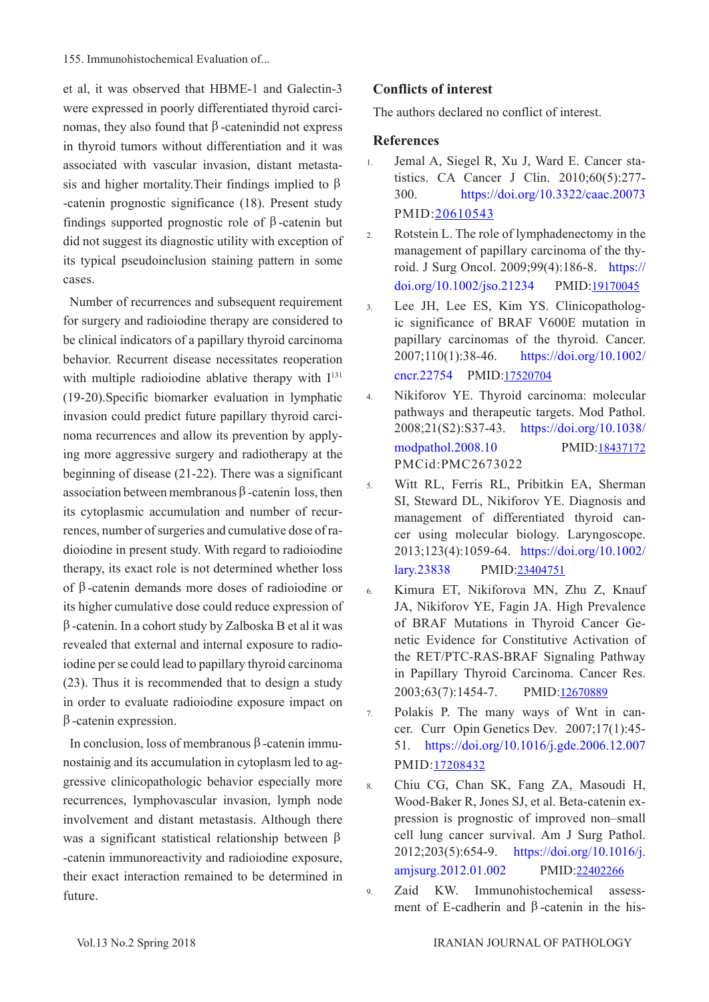155. Immunohistochemical Evaluation of...

et al, it was observed that HBME-1 and Galectin-3 were expressed in poorly differentiated thyroid carcinomas, they also found that  $β$ -catenindid not express in thyroid tumors without differentiation and it was associated with vascular invasion, distant metastasis and higher mortality. Their findings implied to  $\beta$ -catenin prognostic significance (18). Present study findings supported prognostic role of β -catenin but did not suggest its diagnostic utility with exception of its typical pseudoinclusion staining pattern in some cases.

Number of recurrences and subsequent requirement for surgery and radioiodine therapy are considered to be clinical indicators of a papillary thyroid carcinoma behavior. Recurrent disease necessitates reoperation with multiple radioiodine ablative therapy with  $I<sup>131</sup>$ (19-20).Specific biomarker evaluation in lymphatic invasion could predict future papillary thyroid carcinoma recurrences and allow its prevention by applying more aggressive surgery and radiotherapy at the beginning of disease (21-22). There was a significant association between membranous β -catenin loss, then its cytoplasmic accumulation and number of recurrences, number of surgeries and cumulative dose of radioiodine in present study. With regard to radioiodine therapy, its exact role is not determined whether loss of β -catenin demands more doses of radioiodine or its higher cumulative dose could reduce expression of  $β$ -catenin. In a cohort study by Zalboska B et al it was revealed that external and internal exposure to radioiodine per se could lead to papillary thyroid carcinoma (23). Thus it is recommended that to design a study in order to evaluate radioiodine exposure impact on  $β$ -catenin expression.

In conclusion, loss of membranous β -catenin immunostainig and its accumulation in cytoplasm led to aggressive clinicopathologic behavior especially more recurrences, lymphovascular invasion, lymph node involvement and distant metastasis. Although there was a significant statistical relationship between β -catenin immunoreactivity and radioiodine exposure, their exact interaction remained to be determined in future.

# **Conflicts of interest**

The authors declared no conflict of interest.

#### **References**

- 1. Jemal A, Siegel R, Xu J, Ward E. Cancer statistics. CA Cancer J Clin. 2010;60(5):277- 300. [https://doi.org/10.3322/caac.20073](http://mr.crossref.org/iPage?doi=10.3322%2Fcaac.20073) PMID:[20610543](https://www.ncbi.nlm.nih.gov/pubmed/20610543)
- 2. Rotstein L. The role of lymphadenectomy in the management of papillary carcinoma of the thyroid. J Surg Oncol. 2009;99(4):186-8. [https://](https://onlinelibrary.wiley.com/doi/abs/10.1002/jso.21234) [doi.org/10.1002/jso.21234](https://onlinelibrary.wiley.com/doi/abs/10.1002/jso.21234) PMID[:19170045](https://www.ncbi.nlm.nih.gov/pubmed/19170045)
- 3. Lee JH, Lee ES, Kim YS. Clinicopathologic significance of BRAF V600E mutation in papillary carcinomas of the thyroid. Cancer. 2007;110(1):38-46. [https://doi.org/10.1002/](https://onlinelibrary.wiley.com/doi/abs/10.1002/cncr.22754) [cncr.22754](https://onlinelibrary.wiley.com/doi/abs/10.1002/cncr.22754) PMID[:17520704](https://www.ncbi.nlm.nih.gov/pubmed/17520704)
- 4. Nikiforov YE. Thyroid carcinoma: molecular pathways and therapeutic targets. Mod Pathol. 2008;21(S2):S37-43. [https://doi.org/10.1038/](https://www.nature.com/articles/modpathol200810) [modpathol.2008.10](https://www.nature.com/articles/modpathol200810) PMID[:18437172](https://www.ncbi.nlm.nih.gov/pubmed/18437172) PMCid:[PMC2673022](http://www.ncbi.nlm.nih.gov/pmc/articles/PMC2673022)
- 5. Witt RL, Ferris RL, Pribitkin EA, Sherman SI, Steward DL, Nikiforov YE. Diagnosis and management of differentiated thyroid cancer using molecular biology. Laryngoscope. 2013;123(4):1059-64. [https://doi.org/10.1002/](https://onlinelibrary.wiley.com/doi/abs/10.1002/lary.23838) [lary.23838](https://onlinelibrary.wiley.com/doi/abs/10.1002/lary.23838) PMID:[23404751](https://www.ncbi.nlm.nih.gov/pubmed/23404751)
- 6. Kimura ET, Nikiforova MN, Zhu Z, Knauf JA, Nikiforov YE, Fagin JA. High Prevalence of BRAF Mutations in Thyroid Cancer Genetic Evidence for Constitutive Activation of the RET/PTC-RAS-BRAF Signaling Pathway in Papillary Thyroid Carcinoma. Cancer Res. 2003;63(7):1454-7. PMID[:12670889](https://www.ncbi.nlm.nih.gov/pubmed/12670889)
- 7. Polakis P. The many ways of Wnt in cancer. Curr Opin Genetics Dev. 2007;17(1):45- 51. [https://doi.org/10.1016/j.gde.2006.12.007](https://www.sciencedirect.com/science/article/pii/S0959437X06002413?via%3Dihub) PMID:[17208432](https://www.ncbi.nlm.nih.gov/pubmed/17208432)

8. Chiu CG, Chan SK, Fang ZA, Masoudi H, Wood-Baker R, Jones SJ, et al. Beta-catenin expression is prognostic of improved non–small cell lung cancer survival. Am J Surg Pathol. 2012;203(5):654-9. [https://doi.org/10.1016/j.](https://www.americanjournalofsurgery.com/article/S0002-9610(12)00049-9/fulltext) [amjsurg.2012.01.002](https://www.americanjournalofsurgery.com/article/S0002-9610(12)00049-9/fulltext) PMID[:22402266](https://www.ncbi.nlm.nih.gov/pubmed/22402266)

9. Zaid KW. Immunohistochemical assessment of E-cadherin and β-catenin in the his